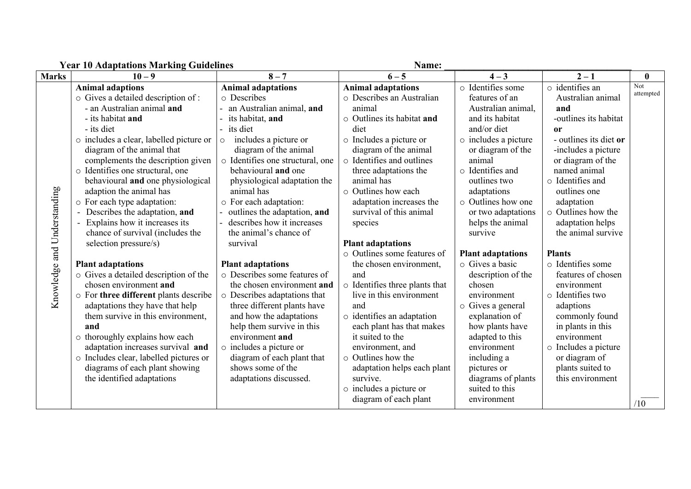|                             | Year IV Adaptations Marking Guidelines<br>Name: |                                  |                                |                          |                          |                  |
|-----------------------------|-------------------------------------------------|----------------------------------|--------------------------------|--------------------------|--------------------------|------------------|
| <b>Marks</b>                | $10 - 9$                                        | $8 - 7$                          | $6 - 5$                        | $4 - 3$                  | $2 - 1$                  | $\boldsymbol{0}$ |
|                             | <b>Animal adaptions</b>                         | <b>Animal adaptations</b>        | <b>Animal adaptations</b>      | o Identifies some        | o identifies an          | Not              |
|                             | o Gives a detailed description of :             | o Describes                      | o Describes an Australian      | features of an           | Australian animal        | attempted        |
|                             | - an Australian animal and                      | an Australian animal, and        | animal                         | Australian animal,       | and                      |                  |
|                             | - its habitat and                               | its habitat, and                 | o Outlines its habitat and     | and its habitat          | -outlines its habitat    |                  |
|                             | - its diet                                      | its diet                         | diet                           | and/or diet              | <b>or</b>                |                  |
|                             | o includes a clear, labelled picture or         | includes a picture or<br>$\circ$ | o Includes a picture or        | o includes a picture     | - outlines its diet or   |                  |
|                             | diagram of the animal that                      | diagram of the animal            | diagram of the animal          | or diagram of the        | -includes a picture      |                  |
|                             | complements the description given               | o Identifies one structural, one | o Identifies and outlines      | animal                   | or diagram of the        |                  |
|                             | o Identifies one structural, one                | behavioural and one              | three adaptations the          | o Identifies and         | named animal             |                  |
|                             | behavioural and one physiological               | physiological adaptation the     | animal has                     | outlines two             | o Identifies and         |                  |
|                             | adaption the animal has                         | animal has                       | ○ Outlines how each            | adaptations              | outlines one             |                  |
|                             | o For each type adaptation:                     | o For each adaptation:           | adaptation increases the       | $\circ$ Outlines how one | adaptation               |                  |
|                             | Describes the adaptation, and                   | outlines the adaptation, and     | survival of this animal        | or two adaptations       | $\circ$ Outlines how the |                  |
|                             | Explains how it increases its                   | describes how it increases       | species                        | helps the animal         | adaptation helps         |                  |
|                             | chance of survival (includes the                | the animal's chance of           |                                | survive                  | the animal survive       |                  |
|                             | selection pressure/s)                           | survival                         | <b>Plant adaptations</b>       |                          |                          |                  |
|                             |                                                 |                                  | o Outlines some features of    | <b>Plant adaptations</b> | <b>Plants</b>            |                  |
|                             | <b>Plant adaptations</b>                        | <b>Plant adaptations</b>         | the chosen environment,        | o Gives a basic          | o Identifies some        |                  |
|                             | o Gives a detailed description of the           | o Describes some features of     | and                            | description of the       | features of chosen       |                  |
|                             | chosen environment and                          | the chosen environment and       | o Identifies three plants that | chosen                   | environment              |                  |
| Knowledge and Understanding | o For three different plants describe           | o Describes adaptations that     | live in this environment       | environment              | o Identifies two         |                  |
|                             | adaptations they have that help                 | three different plants have      | and                            | o Gives a general        | adaptions                |                  |
|                             | them survive in this environment,               | and how the adaptations          | o identifies an adaptation     | explanation of           | commonly found           |                  |
|                             | and                                             | help them survive in this        | each plant has that makes      | how plants have          | in plants in this        |                  |
|                             | o thoroughly explains how each                  | environment and                  | it suited to the               | adapted to this          | environment              |                  |
|                             | adaptation increases survival and               | o includes a picture or          | environment, and               | environment              | o Includes a picture     |                  |
|                             | o Includes clear, labelled pictures or          | diagram of each plant that       | o Outlines how the             | including a              | or diagram of            |                  |
|                             | diagrams of each plant showing                  | shows some of the                | adaptation helps each plant    | pictures or              | plants suited to         |                  |
|                             | the identified adaptations                      | adaptations discussed.           | survive.                       | diagrams of plants       | this environment         |                  |
|                             |                                                 |                                  | o includes a picture or        | suited to this           |                          |                  |
|                             |                                                 |                                  | diagram of each plant          | environment              |                          | /10              |

**Year 10 Adaptations Marking Guidelines Name: \_\_\_\_\_\_\_\_\_\_\_\_\_\_\_\_\_\_\_\_\_\_\_\_\_\_\_\_\_\_\_\_\_\_\_\_\_\_**